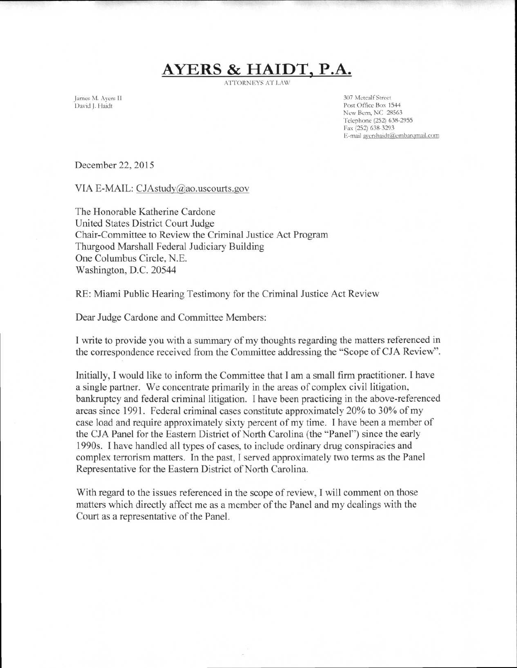## **AYERS & HAIDT, P.A.**

ATTORNEYS AT LAW

James M. Ayers II David J. Haidt

307 Metcalf Street Post Office Box 1544 New Bern, NC 28563 Telephone (252) 638-2955 Fax (252) 638-3293 E-mail ayershaidt@embarymail.com

December 22, 2015

VIA E-MAIL: CJAstudy@ao.uscourts.gov

The Honorable Katherine Cardone United States District Court Judge Chair-Committee to Review the Criminal Justice Act Program Thurgood Marshall Federal Judiciary Building One Columbus Circle, N.E. Washington, D.C. 20544

RE: Miami Public Hearing Testimony for the Criminal Justice Act Review

Dear Judge Cardone and Committee Members:

I write to provide you with a summary of my thoughts regarding the matters referenced in the correspondence received from the Committee addressing the "Scope of CJA Review".

Initially, I would like to inform the Committee that I am a small firm practitioner. I have a single partner. We concentrate primarily in the areas of complex civil litigation, bankruptcy and federal criminal litigation. I have been practicing in the above-referenced areas since 1991. Federal criminal cases constitute approximately 20% to 30% of my case load and require approximately sixty percent of my time. I have been a member of the CJA Panel for the Eastern District of North Carolina (the "Panel") since the early 1990s. I have handled all types of cases, to include ordinary drug conspiracies and complex terrorism matters. In the past, I served approximately two terms as the Panel Representative for the Eastern District of North Carolina.

With regard to the issues referenced in the scope of review, I will comment on those matters which directly affect me as a member of the Panel and my dealings with the Court as a representative of the Panel.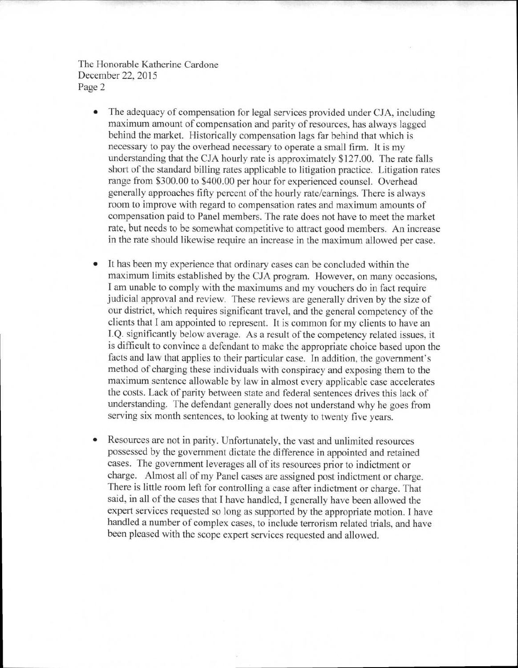- The adequacy of compensation for legal services provided under CJA, including maximum amount of compensation and parity of resources, has always lagged behind the market. Historically compensation lags far behind that which is necessary to pay the overhead necessary to operate a small firm. It is my understanding that the CJA hourly rate is approximately \$127.00. The rate falls short of the standard billing rates applicable to litigation practice. Litigation rates range from \$300.00 to \$400.00 per hour for experienced counsel. Overhead generally approaches fifty percent of the hourly rate/earnings. There is always room to improve with regard to compensation rates and maximum amounts of compensation paid to Panel members. The rate does not have to meet the market rate, but needs to be somewhat competitive to attract good members. An increase in the rate should likewise require an increase in the maximum allowed per case.
- It has been my experience that ordinary cases can be concluded within the maximum limits established by the CJA program. However, on many occasions, I am unable to comply with the maximums and my vouchers do in fact require judicial approval and review. These reviews are generally driven by the size of our district, which requires significant travel, and the general competency of the clients that I am appointed to represent. It is common for my clients to have an I.Q. significantly below average. As a result of the competency related issues, it is difficult to convince a defendant to make the appropriate choice based upon the facts and law that applies to their particular case. In addition, the government's method of charging these individuals with conspiracy and exposing them to the maximum sentence allowable by law in almost every applicable case accelerates the costs. Lack of parity between state and federal sentences drives this lack of understanding. The defendant generally does not understand why he goes from serving six month sentences, to looking at twenty to twenty five years.
- Resources are not in parity. Unfortunately, the vast and unlimited resources possessed by the government dictate the difference in appointed and retained cases. The government leverages all of its resources prior to indictment or charge. Almost all of my Panel cases are assigned post indictment or charge. There is little room left for controlling a case after indictment or charge. That said, in all of the cases that I have handled, I generally have been allowed the expert services requested so long as supported by the appropriate motion. I have handled a number of complex cases, to include terrorism related trials, and have been pleased with the scope expert services requested and allowed.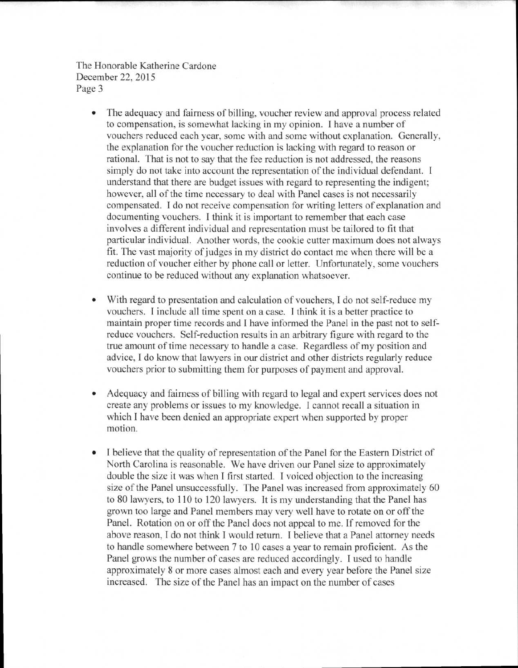- The adequacy and fairness of billing, voucher review and approval process related to compensation, is somewhat lacking in my opinion. I have a number of vouchers reduced each year, some with and some without explanation. Generally, the explanation for the voucher reduction is lacking with regard to reason or rational. That is not to say that the fee reduction is not addressed, the reasons simply do not take into account the representation of the individual defendant. I understand that there are budget issues with regard to representing the indigent; however, all of the time necessary to deal with Panel cases is not necessarily compensated. I do not receive compensation for writing letters of explanation and documenting vouchers. I think it is important to remember that each case involves a different individual and representation must be tailored to fit that particular individual. Another words, the cookie cutter maximum does not always fit. The vast majority of judges in my district do contact me when there will be a reduction of voucher either by phone call or letter. Unfortunately, some vouchers continue to be reduced without any explanation whatsoever.
- With regard to presentation and calculation of vouchers, I do not self-reduce my vouchers. I include all time spent on a case. I think it is a better practice to maintain proper time records and I have informed the Panel in the past not to selfreduce vouchers. Self-reduction results in an arbitrary figure with regard to the true amount of time necessary to handle a case. Regardless of my position and advice, I do know that lawyers in our district and other districts regularly reduce vouchers prior to submitting them for purposes of payment and approval.
- Adequacy and fairness of billing with regard to legal and expert services does not create any problems or issues to my knowledge. I cannot recall a situation in which I have been denied an appropriate expert when supported by proper motion.
- I believe that the quality of representation of the Panel for the Eastern District of North Carolina is reasonable. We have driven our Panel size to approximately double the size it was when I first started. I voiced objection to the increasing size of the Panel unsuccessfully. The Panel was increased from approximately 60 to 80 lawyers, to 110 to 120 lawyers. It is my understanding that the Panel has grown too large and Panel members may very well have to rotate on or off the Panel. Rotation on or off the Panel does not appeal to me. If removed for the above reason, I do not think I would return. I believe that a Panel attorney needs to handle somewhere between 7 to 10 cases a year to remain proficient. As the Panel grows the number of cases are reduced accordingly. I used to handle approximately 8 or more cases almost each and every year before the Panel size increased. The size of the Panel has an impact on the number of cases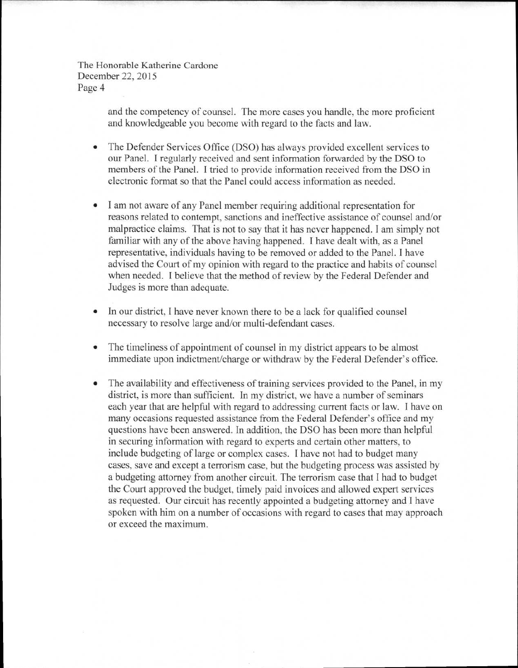> and the competency of counsel. The more cases you handle, the more proficient and knowledgeable you become with regard to the facts and law.

- The Defender Services Office (DSO) has always provided excellent services to our Panel. I regularly received and sent information forwarded by the DSO to members of the Panel. I tried to provide information received from the DSO in electronic format so that the Panel could access information as needed.
- I am not aware of any Panel member requiring additional representation for reasons related to contempt, sanctions and ineffective assistance of counsel and/or malpractice claims. That is not to say that it has never happened. I am simply not familiar with any of the above having happened. I have dealt with, as a Panel representative, individuals having to be removed or added to the Panel. I have advised the Court of my opinion with regard to the practice and habits of counsel when needed. I believe that the method of review by the Federal Defender and Judges is more than adequate.
- In our district, I have never known there to be a lack for qualified counsel necessary to resolve large and/or multi-defendant cases.
- The timeliness of appointment of counsel in my district appears to be almost immediate upon indictment/charge or withdraw by the Federal Defender's office.
- The availability and effectiveness of training services provided to the Panel, in my district, is more than sufficient. In my district, we have a number of seminars each year that are helpful with regard to addressing current facts or law. I have on many occasions requested assistance from the Federal Defender's office and my questions have been answered. In addition, the DSO has been more than helpful in securing information with regard to experts and certain other matters, to include budgeting of large or complex cases. I have not had to budget many cases, save and except a terrorism case, but the budgeting process was assisted by a budgeting attorney from another circuit. The terrorism case that I had to budget the Court approved the budget, timely paid invoices and allowed expert services as requested. Our circuit has recently appointed a budgeting attorney and I have spoken with him on a number of occasions with regard to cases that may approach or exceed the maximum.